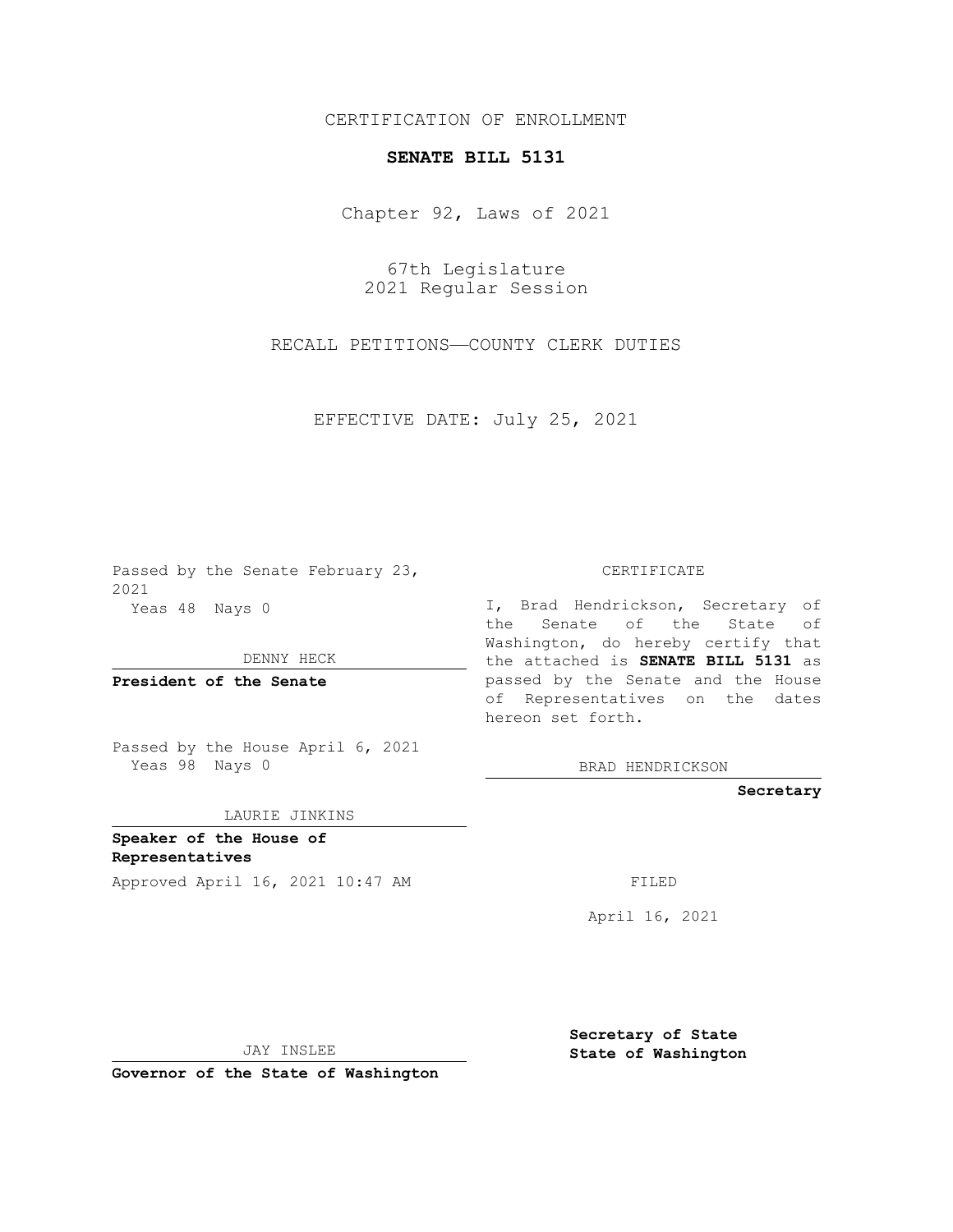## CERTIFICATION OF ENROLLMENT

## **SENATE BILL 5131**

Chapter 92, Laws of 2021

67th Legislature 2021 Regular Session

RECALL PETITIONS—COUNTY CLERK DUTIES

EFFECTIVE DATE: July 25, 2021

Passed by the Senate February 23, 2021 Yeas 48 Nays 0

DENNY HECK

**President of the Senate**

Passed by the House April 6, 2021 Yeas 98 Nays 0

LAURIE JINKINS

**Speaker of the House of Representatives** Approved April 16, 2021 10:47 AM

CERTIFICATE

I, Brad Hendrickson, Secretary of the Senate of the State of Washington, do hereby certify that the attached is **SENATE BILL 5131** as passed by the Senate and the House of Representatives on the dates hereon set forth.

BRAD HENDRICKSON

**Secretary**

April 16, 2021

JAY INSLEE

**Governor of the State of Washington**

**Secretary of State State of Washington**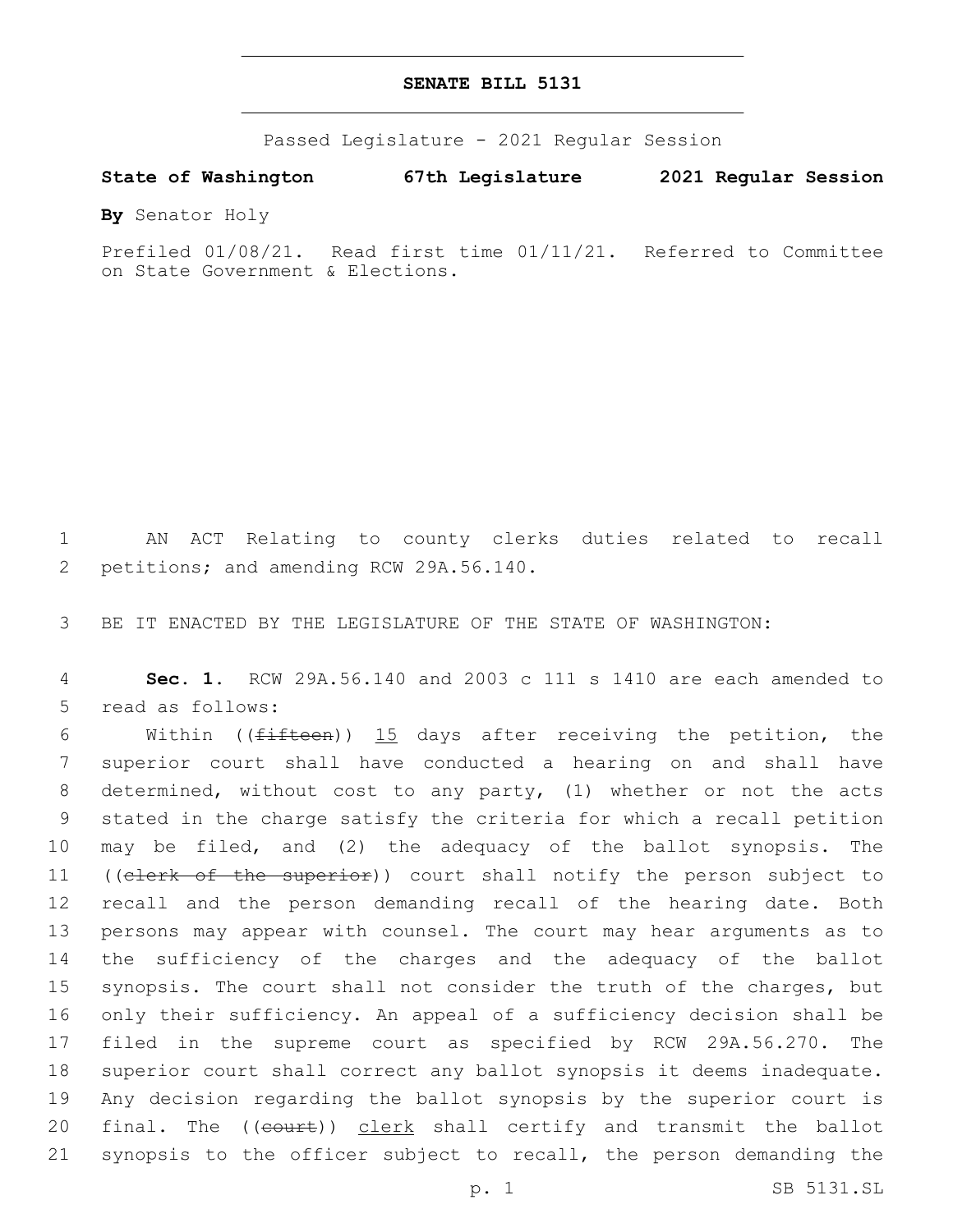## **SENATE BILL 5131**

Passed Legislature - 2021 Regular Session

**State of Washington 67th Legislature 2021 Regular Session**

**By** Senator Holy

Prefiled 01/08/21. Read first time 01/11/21. Referred to Committee on State Government & Elections.

1 AN ACT Relating to county clerks duties related to recall 2 petitions; and amending RCW 29A.56.140.

3 BE IT ENACTED BY THE LEGISLATURE OF THE STATE OF WASHINGTON:

4 **Sec. 1.** RCW 29A.56.140 and 2003 c 111 s 1410 are each amended to 5 read as follows:

6 Within (( $f$ ifteen)) 15 days after receiving the petition, the superior court shall have conducted a hearing on and shall have determined, without cost to any party, (1) whether or not the acts stated in the charge satisfy the criteria for which a recall petition may be filed, and (2) the adequacy of the ballot synopsis. The 11 ((clerk of the superior)) court shall notify the person subject to recall and the person demanding recall of the hearing date. Both persons may appear with counsel. The court may hear arguments as to the sufficiency of the charges and the adequacy of the ballot synopsis. The court shall not consider the truth of the charges, but only their sufficiency. An appeal of a sufficiency decision shall be filed in the supreme court as specified by RCW 29A.56.270. The superior court shall correct any ballot synopsis it deems inadequate. Any decision regarding the ballot synopsis by the superior court is 20 final. The ((court)) clerk shall certify and transmit the ballot synopsis to the officer subject to recall, the person demanding the